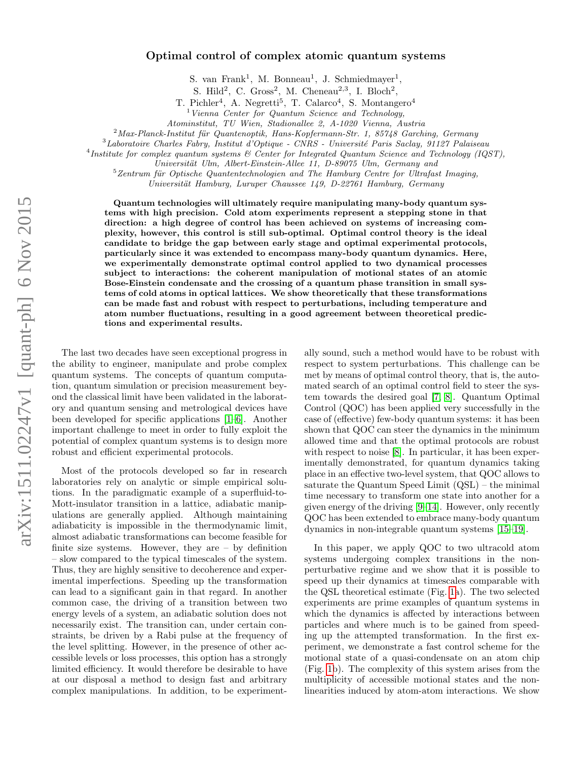# Optimal control of complex atomic quantum systems

S. van Frank<sup>1</sup>, M. Bonneau<sup>1</sup>, J. Schmiedmayer<sup>1</sup>,

S. Hild<sup>2</sup>, C. Gross<sup>2</sup>, M. Cheneau<sup>2,3</sup>, I. Bloch<sup>2</sup>,

T. Pichler<sup>4</sup>, A. Negretti<sup>5</sup>, T. Calarco<sup>4</sup>, S. Montangero<sup>4</sup>

 $1$  Vienna Center for Quantum Science and Technology,

Atominstitut, TU Wien, Stadionallee 2, A-1020 Vienna, Austria

 $2<sup>2</sup>$ Max-Planck-Institut für Quantenoptik, Hans-Kopfermann-Str. 1, 85748 Garching, Germany

 $3$ Laboratoire Charles Fabry, Institut d'Optique - CNRS - Université Paris Saclay, 91127 Palaiseau

<sup>4</sup>Institute for complex quantum systems & Center for Integrated Quantum Science and Technology (IQST),

Universität Ulm, Albert-Einstein-Allee 11, D-89075 Ulm, Germany and

 $5$ Zentrum für Optische Quantentechnologien and The Hamburg Centre for Ultrafast Imaging,

Universität Hamburg, Luruper Chaussee 149, D-22761 Hamburg, Germany

Quantum technologies will ultimately require manipulating many-body quantum systems with high precision. Cold atom experiments represent a stepping stone in that direction: a high degree of control has been achieved on systems of increasing complexity, however, this control is still sub-optimal. Optimal control theory is the ideal candidate to bridge the gap between early stage and optimal experimental protocols, particularly since it was extended to encompass many-body quantum dynamics. Here, we experimentally demonstrate optimal control applied to two dynamical processes subject to interactions: the coherent manipulation of motional states of an atomic Bose-Einstein condensate and the crossing of a quantum phase transition in small systems of cold atoms in optical lattices. We show theoretically that these transformations can be made fast and robust with respect to perturbations, including temperature and atom number fluctuations, resulting in a good agreement between theoretical predictions and experimental results.

The last two decades have seen exceptional progress in the ability to engineer, manipulate and probe complex quantum systems. The concepts of quantum computation, quantum simulation or precision measurement beyond the classical limit have been validated in the laboratory and quantum sensing and metrological devices have been developed for specific applications [\[1–](#page-10-0)[6\]](#page-10-1). Another important challenge to meet in order to fully exploit the potential of complex quantum systems is to design more robust and efficient experimental protocols.

Most of the protocols developed so far in research laboratories rely on analytic or simple empirical solutions. In the paradigmatic example of a superfluid-to-Mott-insulator transition in a lattice, adiabatic manipulations are generally applied. Although maintaining adiabaticity is impossible in the thermodynamic limit, almost adiabatic transformations can become feasible for finite size systems. However, they are – by definition – slow compared to the typical timescales of the system. Thus, they are highly sensitive to decoherence and experimental imperfections. Speeding up the transformation can lead to a significant gain in that regard. In another common case, the driving of a transition between two energy levels of a system, an adiabatic solution does not necessarily exist. The transition can, under certain constraints, be driven by a Rabi pulse at the frequency of the level splitting. However, in the presence of other accessible levels or loss processes, this option has a strongly limited efficiency. It would therefore be desirable to have at our disposal a method to design fast and arbitrary complex manipulations. In addition, to be experimentally sound, such a method would have to be robust with respect to system perturbations. This challenge can be met by means of optimal control theory, that is, the automated search of an optimal control field to steer the system towards the desired goal [\[7,](#page-10-2) [8\]](#page-10-3). Quantum Optimal Control (QOC) has been applied very successfully in the case of (effective) few-body quantum systems: it has been shown that QOC can steer the dynamics in the minimum allowed time and that the optimal protocols are robust with respect to noise [\[8\]](#page-10-3). In particular, it has been experimentally demonstrated, for quantum dynamics taking place in an effective two-level system, that QOC allows to saturate the Quantum Speed Limit (QSL) – the minimal time necessary to transform one state into another for a given energy of the driving [\[9](#page-10-4)[–14\]](#page-10-5). However, only recently QOC has been extended to embrace many-body quantum dynamics in non-integrable quantum systems [\[15–](#page-10-6)[19\]](#page-10-7).

In this paper, we apply QOC to two ultracold atom systems undergoing complex transitions in the nonperturbative regime and we show that it is possible to speed up their dynamics at timescales comparable with the QSL theoretical estimate (Fig. [1a](#page-1-0)). The two selected experiments are prime examples of quantum systems in which the dynamics is affected by interactions between particles and where much is to be gained from speeding up the attempted transformation. In the first experiment, we demonstrate a fast control scheme for the motional state of a quasi-condensate on an atom chip (Fig. [1b](#page-1-0)). The complexity of this system arises from the multiplicity of accessible motional states and the nonlinearities induced by atom-atom interactions. We show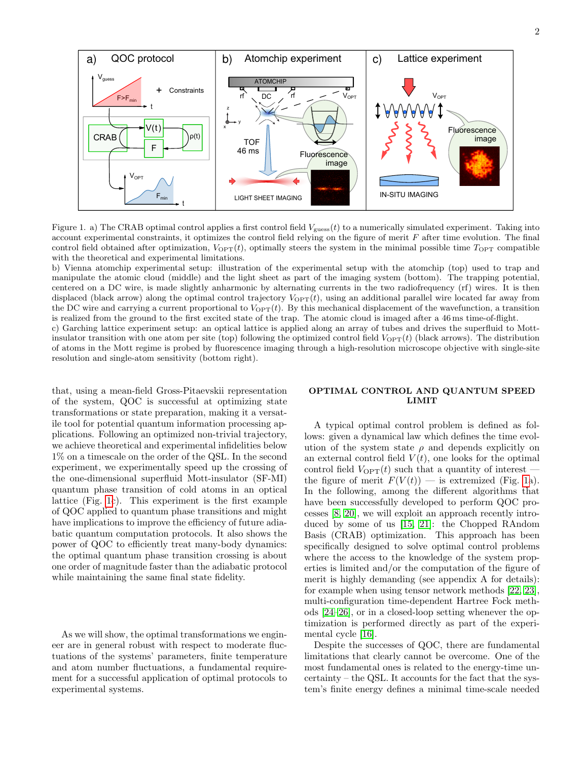

<span id="page-1-0"></span>Figure 1. a) The CRAB optimal control applies a first control field  $V_{\text{guess}}(t)$  to a numerically simulated experiment. Taking into account experimental constraints, it optimizes the control field relying on the figure of merit  $F$  after time evolution. The final control field obtained after optimization,  $V_{\text{OPT}}(t)$ , optimally steers the system in the minimal possible time  $T_{\text{OPT}}$  compatible with the theoretical and experimental limitations.

b) Vienna atomchip experimental setup: illustration of the experimental setup with the atomchip (top) used to trap and manipulate the atomic cloud (middle) and the light sheet as part of the imaging system (bottom). The trapping potential, centered on a DC wire, is made slightly anharmonic by alternating currents in the two radiofrequency (rf) wires. It is then displaced (black arrow) along the optimal control trajectory  $V_{\text{OPT}}(t)$ , using an additional parallel wire located far away from the DC wire and carrying a current proportional to  $V_{\text{OPT}}(t)$ . By this mechanical displacement of the wavefunction, a transition is realized from the ground to the first excited state of the trap. The atomic cloud is imaged after a 46 ms time-of-flight.

c) Garching lattice experiment setup: an optical lattice is applied along an array of tubes and drives the superfluid to Mottinsulator transition with one atom per site (top) following the optimized control field  $V_{\text{OPT}}(t)$  (black arrows). The distribution of atoms in the Mott regime is probed by fluorescence imaging through a high-resolution microscope objective with single-site resolution and single-atom sensitivity (bottom right).

that, using a mean-field Gross-Pitaevskii representation of the system, QOC is successful at optimizing state transformations or state preparation, making it a versatile tool for potential quantum information processing applications. Following an optimized non-trivial trajectory, we achieve theoretical and experimental infidelities below 1% on a timescale on the order of the QSL. In the second experiment, we experimentally speed up the crossing of the one-dimensional superfluid Mott-insulator (SF-MI) quantum phase transition of cold atoms in an optical lattice (Fig. [1c](#page-1-0)). This experiment is the first example of QOC applied to quantum phase transitions and might have implications to improve the efficiency of future adiabatic quantum computation protocols. It also shows the power of QOC to efficiently treat many-body dynamics: the optimal quantum phase transition crossing is about one order of magnitude faster than the adiabatic protocol while maintaining the same final state fidelity.

As we will show, the optimal transformations we engineer are in general robust with respect to moderate fluctuations of the systems' parameters, finite temperature and atom number fluctuations, a fundamental requirement for a successful application of optimal protocols to experimental systems.

# OPTIMAL CONTROL AND QUANTUM SPEED LIMIT

A typical optimal control problem is defined as follows: given a dynamical law which defines the time evolution of the system state  $\rho$  and depends explicitly on an external control field  $V(t)$ , one looks for the optimal control field  $V_{\text{OPT}}(t)$  such that a quantity of interest the figure of merit  $F(V(t))$  — is extremized (Fig. [1a](#page-1-0)). In the following, among the different algorithms that have been successfully developed to perform QOC processes [\[8,](#page-10-3) [20\]](#page-11-0), we will exploit an approach recently introduced by some of us [\[15,](#page-10-6) [21\]](#page-11-1): the Chopped RAndom Basis (CRAB) optimization. This approach has been specifically designed to solve optimal control problems where the access to the knowledge of the system properties is limited and/or the computation of the figure of merit is highly demanding (see appendix A for details): for example when using tensor network methods [\[22,](#page-11-2) [23\]](#page-11-3), multi-configuration time-dependent Hartree Fock methods [\[24–](#page-11-4)[26\]](#page-11-5), or in a closed-loop setting whenever the optimization is performed directly as part of the experimental cycle [\[16\]](#page-10-8).

Despite the successes of QOC, there are fundamental limitations that clearly cannot be overcome. One of the most fundamental ones is related to the energy-time uncertainty – the QSL. It accounts for the fact that the system's finite energy defines a minimal time-scale needed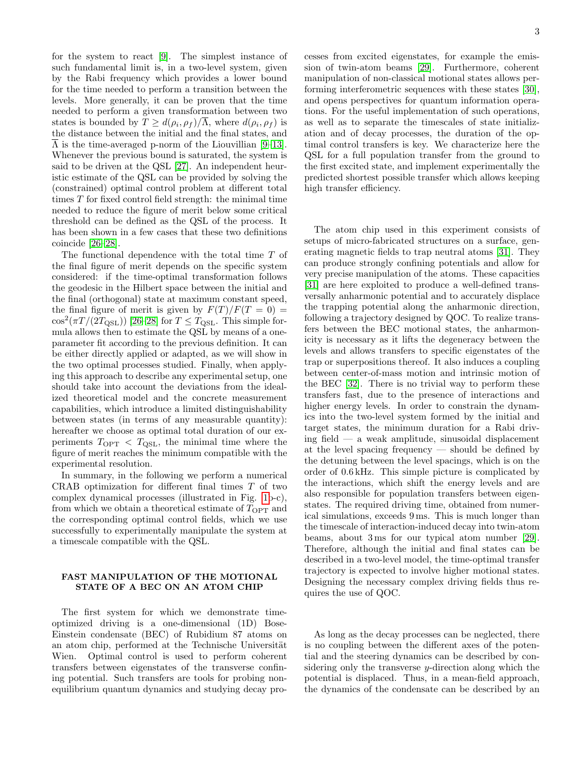for the system to react [\[9\]](#page-10-4). The simplest instance of such fundamental limit is, in a two-level system, given by the Rabi frequency which provides a lower bound for the time needed to perform a transition between the levels. More generally, it can be proven that the time needed to perform a given transformation between two states is bounded by  $T \ge d(\rho_i, \rho_f)/\overline{\Lambda}$ , where  $d(\rho_i, \rho_f)$  is the distance between the initial and the final states, and  $\overline{\Lambda}$  is the time-averaged p-norm of the Liouvillian [\[9–](#page-10-4)[13\]](#page-10-9). Whenever the previous bound is saturated, the system is said to be driven at the QSL [\[27\]](#page-11-6). An independent heuristic estimate of the QSL can be provided by solving the (constrained) optimal control problem at different total times T for fixed control field strength: the minimal time needed to reduce the figure of merit below some critical threshold can be defined as the QSL of the process. It has been shown in a few cases that these two definitions coincide [\[26–](#page-11-5)[28\]](#page-11-7).

The functional dependence with the total time T of the final figure of merit depends on the specific system considered: if the time-optimal transformation follows the geodesic in the Hilbert space between the initial and the final (orthogonal) state at maximum constant speed, the final figure of merit is given by  $F(T)/F(T = 0) =$  $\cos^2(\pi T/(2T_{\rm QSL}))$  [\[26–](#page-11-5)[28\]](#page-11-7) for  $T \leq T_{\rm QSL}$ . This simple formula allows then to estimate the QSL by means of a oneparameter fit according to the previous definition. It can be either directly applied or adapted, as we will show in the two optimal processes studied. Finally, when applying this approach to describe any experimental setup, one should take into account the deviations from the idealized theoretical model and the concrete measurement capabilities, which introduce a limited distinguishability between states (in terms of any measurable quantity): hereafter we choose as optimal total duration of our experiments  $T_{\text{OPT}} < T_{\text{QSL}}$ , the minimal time where the figure of merit reaches the minimum compatible with the experimental resolution.

In summary, in the following we perform a numerical CRAB optimization for different final times T of two complex dynamical processes (illustrated in Fig. [1b](#page-1-0)-c), from which we obtain a theoretical estimate of  $T_{\text{OPT}}$  and the corresponding optimal control fields, which we use successfully to experimentally manipulate the system at a timescale compatible with the QSL.

## FAST MANIPULATION OF THE MOTIONAL STATE OF A BEC ON AN ATOM CHIP

The first system for which we demonstrate timeoptimized driving is a one-dimensional (1D) Bose-Einstein condensate (BEC) of Rubidium 87 atoms on an atom chip, performed at the Technische Universität Wien. Optimal control is used to perform coherent transfers between eigenstates of the transverse confining potential. Such transfers are tools for probing nonequilibrium quantum dynamics and studying decay processes from excited eigenstates, for example the emission of twin-atom beams [\[29\]](#page-11-8). Furthermore, coherent manipulation of non-classical motional states allows performing interferometric sequences with these states [\[30\]](#page-11-9), and opens perspectives for quantum information operations. For the useful implementation of such operations, as well as to separate the timescales of state initialization and of decay processes, the duration of the optimal control transfers is key. We characterize here the QSL for a full population transfer from the ground to the first excited state, and implement experimentally the predicted shortest possible transfer which allows keeping high transfer efficiency.

The atom chip used in this experiment consists of setups of micro-fabricated structures on a surface, generating magnetic fields to trap neutral atoms [\[31\]](#page-11-10). They can produce strongly confining potentials and allow for very precise manipulation of the atoms. These capacities [\[31\]](#page-11-10) are here exploited to produce a well-defined transversally anharmonic potential and to accurately displace the trapping potential along the anharmonic direction, following a trajectory designed by QOC. To realize transfers between the BEC motional states, the anharmonicity is necessary as it lifts the degeneracy between the levels and allows transfers to specific eigenstates of the trap or superpositions thereof. It also induces a coupling between center-of-mass motion and intrinsic motion of the BEC [\[32\]](#page-11-11). There is no trivial way to perform these transfers fast, due to the presence of interactions and higher energy levels. In order to constrain the dynamics into the two-level system formed by the initial and target states, the minimum duration for a Rabi driving field — a weak amplitude, sinusoidal displacement at the level spacing frequency — should be defined by the detuning between the level spacings, which is on the order of 0.6 kHz. This simple picture is complicated by the interactions, which shift the energy levels and are also responsible for population transfers between eigenstates. The required driving time, obtained from numerical simulations, exceeds 9 ms. This is much longer than the timescale of interaction-induced decay into twin-atom beams, about 3 ms for our typical atom number [\[29\]](#page-11-8). Therefore, although the initial and final states can be described in a two-level model, the time-optimal transfer trajectory is expected to involve higher motional states. Designing the necessary complex driving fields thus requires the use of QOC.

As long as the decay processes can be neglected, there is no coupling between the different axes of the potential and the steering dynamics can be described by considering only the transverse y-direction along which the potential is displaced. Thus, in a mean-field approach, the dynamics of the condensate can be described by an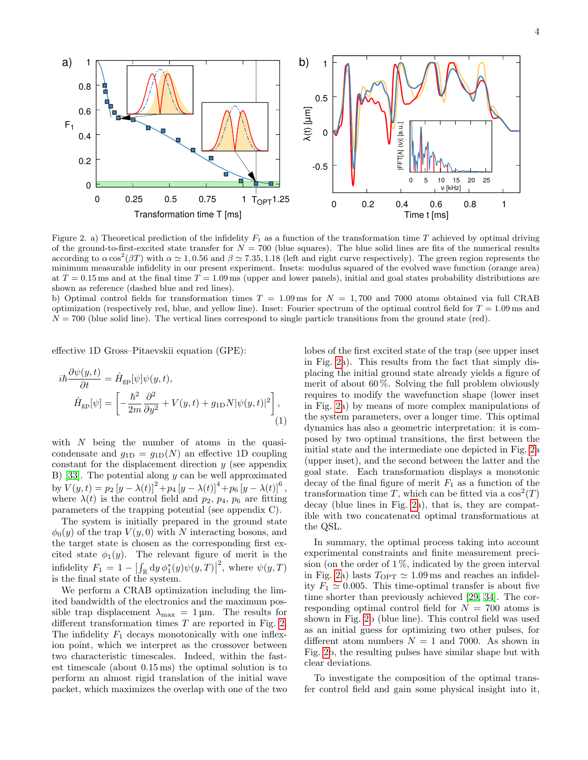

<span id="page-3-0"></span>Figure 2. a) Theoretical prediction of the infidelity  $F_1$  as a function of the transformation time T achieved by optimal driving of the ground-to-first-excited state transfer for  $N = 700$  (blue squares). The blue solid lines are fits of the numerical results according to  $\alpha \cos^2(\beta T)$  with  $\alpha \simeq 1, 0.56$  and  $\beta \simeq 7.35, 1.18$  (left and right curve respectively). The green region represents the minimum measurable infidelity in our present experiment. Insets: modulus squared of the evolved wave function (orange area) at  $T = 0.15$  ms and at the final time  $T = 1.09$  ms (upper and lower panels), initial and goal states probability distributions are shown as reference (dashed blue and red lines).

b) Optimal control fields for transformation times  $T = 1.09$  ms for  $N = 1,700$  and 7000 atoms obtained via full CRAB optimization (respectively red, blue, and yellow line). Inset: Fourier spectrum of the optimal control field for  $T = 1.09$  ms and  $N = 700$  (blue solid line). The vertical lines correspond to single particle transitions from the ground state (red).

effective 1D Gross–Pitaevskii equation (GPE):

$$
i\hbar \frac{\partial \psi(y,t)}{\partial t} = \hat{H}_{\text{gp}}[\psi]\psi(y,t),
$$
  

$$
\hat{H}_{\text{gp}}[\psi] = \left[ -\frac{\hbar^2}{2m} \frac{\partial^2}{\partial y^2} + V(y,t) + g_{\text{1D}} N |\psi(y,t)|^2 \right],
$$
  
(1)

with  $N$  being the number of atoms in the quasicondensate and  $g_{1D} = g_{1D}(N)$  an effective 1D coupling constant for the displacement direction  $y$  (see appendix B) [\[33\]](#page-11-12). The potential along  $y$  can be well approximated by  $V(y,t) = p_2 [y - \lambda(t)]^2 + p_4 [y - \lambda(t)]^4 + p_6 [y - \lambda(t)]^6$ , where  $\lambda(t)$  is the control field and  $p_2$ ,  $p_4$ ,  $p_6$  are fitting parameters of the trapping potential (see appendix C).

The system is initially prepared in the ground state  $\phi_0(y)$  of the trap  $V(y, 0)$  with N interacting bosons, and the target state is chosen as the corresponding first excited state  $\phi_1(y)$ . The relevant figure of merit is the infidelity  $F_1 = 1 - \left| \int_{\mathbb{R}} dy \, \phi_1^*(y) \psi(y, T) \right|$ <sup>2</sup>, where  $\psi(y,T)$ is the final state of the system.

We perform a CRAB optimization including the limited bandwidth of the electronics and the maximum possible trap displacement  $\lambda_{\text{max}} = 1 \,\text{\mu m}$ . The results for different transformation times  $T$  are reported in Fig. [2.](#page-3-0) The infidelity  $F_1$  decays monotonically with one inflexion point, which we interpret as the crossover between two characteristic timescales. Indeed, within the fastest timescale (about 0.15 ms) the optimal solution is to perform an almost rigid translation of the initial wave packet, which maximizes the overlap with one of the two

<span id="page-3-1"></span>lobes of the first excited state of the trap (see upper inset in Fig. [2a](#page-3-0)). This results from the fact that simply displacing the initial ground state already yields a figure of merit of about  $60\%$ . Solving the full problem obviously requires to modify the wavefunction shape (lower inset in Fig. [2a](#page-3-0)) by means of more complex manipulations of the system parameters, over a longer time. This optimal dynamics has also a geometric interpretation: it is composed by two optimal transitions, the first between the initial state and the intermediate one depicted in Fig. [2a](#page-3-0) (upper inset), and the second between the latter and the goal state. Each transformation displays a monotonic decay of the final figure of merit  $F_1$  as a function of the transformation time T, which can be fitted via a  $\cos^2(T)$ decay (blue lines in Fig. [2a](#page-3-0)), that is, they are compatible with two concatenated optimal transformations at the QSL.

In summary, the optimal process taking into account experimental constraints and finite measurement precision (on the order of  $1\%$ , indicated by the green interval in Fig. [2a](#page-3-0)) lasts  $T_{\text{OPT}} \simeq 1.09 \,\text{ms}$  and reaches an infidelity  $F_1 \simeq 0.005$ . This time-optimal transfer is about five time shorter than previously achieved [\[29,](#page-11-8) [34\]](#page-11-13). The corresponding optimal control field for  $N = 700$  atoms is shown in Fig. [2b](#page-3-0) (blue line). This control field was used as an initial guess for optimizing two other pulses, for different atom numbers  $N = 1$  and 7000. As shown in Fig. [2b](#page-3-0), the resulting pulses have similar shape but with clear deviations.

To investigate the composition of the optimal transfer control field and gain some physical insight into it,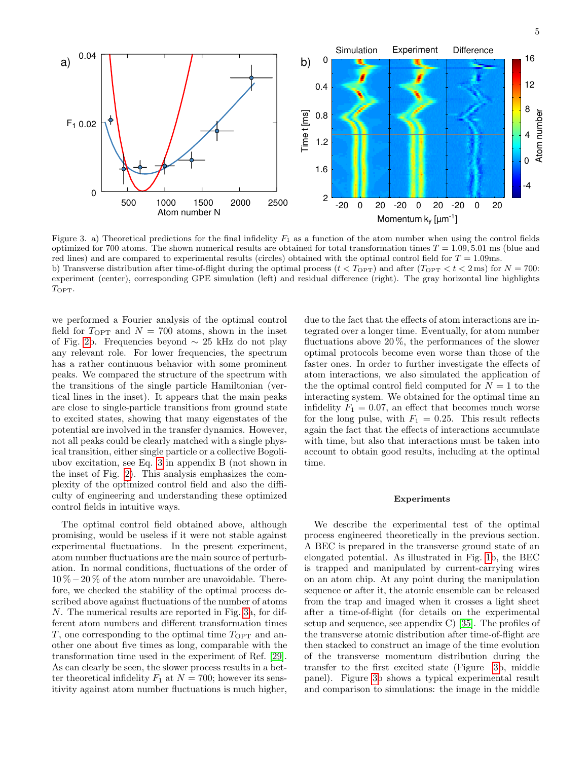

<span id="page-4-0"></span>Figure 3. a) Theoretical predictions for the final infidelity  $F_1$  as a function of the atom number when using the control fields optimized for 700 atoms. The shown numerical results are obtained for total transformation times  $T = 1.09, 5.01$  ms (blue and red lines) and are compared to experimental results (circles) obtained with the optimal control field for  $T = 1.09$ ms. b) Transverse distribution after time-of-flight during the optimal process  $(t < T_{\text{OPT}})$  and after  $(T_{\text{OPT}} < t < 2 \text{ ms})$  for  $N = 700$ : experiment (center), corresponding GPE simulation (left) and residual difference (right). The gray horizontal line highlights TOPT.

we performed a Fourier analysis of the optimal control field for  $T_{\text{OPT}}$  and  $N = 700$  atoms, shown in the inset of Fig. [2b](#page-3-0). Frequencies beyond ∼ 25 kHz do not play any relevant role. For lower frequencies, the spectrum has a rather continuous behavior with some prominent peaks. We compared the structure of the spectrum with the transitions of the single particle Hamiltonian (vertical lines in the inset). It appears that the main peaks are close to single-particle transitions from ground state to excited states, showing that many eigenstates of the potential are involved in the transfer dynamics. However, not all peaks could be clearly matched with a single physical transition, either single particle or a collective Bogoliubov excitation, see Eq. [3](#page-9-0) in appendix B (not shown in the inset of Fig. [2\)](#page-3-0). This analysis emphasizes the complexity of the optimized control field and also the difficulty of engineering and understanding these optimized control fields in intuitive ways.

The optimal control field obtained above, although promising, would be useless if it were not stable against experimental fluctuations. In the present experiment, atom number fluctuations are the main source of perturbation. In normal conditions, fluctuations of the order of 10 %−20 % of the atom number are unavoidable. Therefore, we checked the stability of the optimal process described above against fluctuations of the number of atoms N. The numerical results are reported in Fig. [3a](#page-4-0), for different atom numbers and different transformation times T, one corresponding to the optimal time  $T_{\text{OPT}}$  and another one about five times as long, comparable with the transformation time used in the experiment of Ref. [\[29\]](#page-11-8). As can clearly be seen, the slower process results in a better theoretical infidelity  $F_1$  at  $N = 700$ ; however its sensitivity against atom number fluctuations is much higher,

due to the fact that the effects of atom interactions are integrated over a longer time. Eventually, for atom number fluctuations above  $20\%$ , the performances of the slower optimal protocols become even worse than those of the faster ones. In order to further investigate the effects of atom interactions, we also simulated the application of the the optimal control field computed for  $N = 1$  to the interacting system. We obtained for the optimal time an infidelity  $F_1 = 0.07$ , an effect that becomes much worse for the long pulse, with  $F_1 = 0.25$ . This result reflects again the fact that the effects of interactions accumulate with time, but also that interactions must be taken into account to obtain good results, including at the optimal time.

#### Experiments

We describe the experimental test of the optimal process engineered theoretically in the previous section. A BEC is prepared in the transverse ground state of an elongated potential. As illustrated in Fig. [1b](#page-1-0), the BEC is trapped and manipulated by current-carrying wires on an atom chip. At any point during the manipulation sequence or after it, the atomic ensemble can be released from the trap and imaged when it crosses a light sheet after a time-of-flight (for details on the experimental setup and sequence, see appendix C) [\[35\]](#page-11-14). The profiles of the transverse atomic distribution after time-of-flight are then stacked to construct an image of the time evolution of the transverse momentum distribution during the transfer to the first excited state (Figure [3b](#page-4-0), middle panel). Figure [3b](#page-4-0) shows a typical experimental result and comparison to simulations: the image in the middle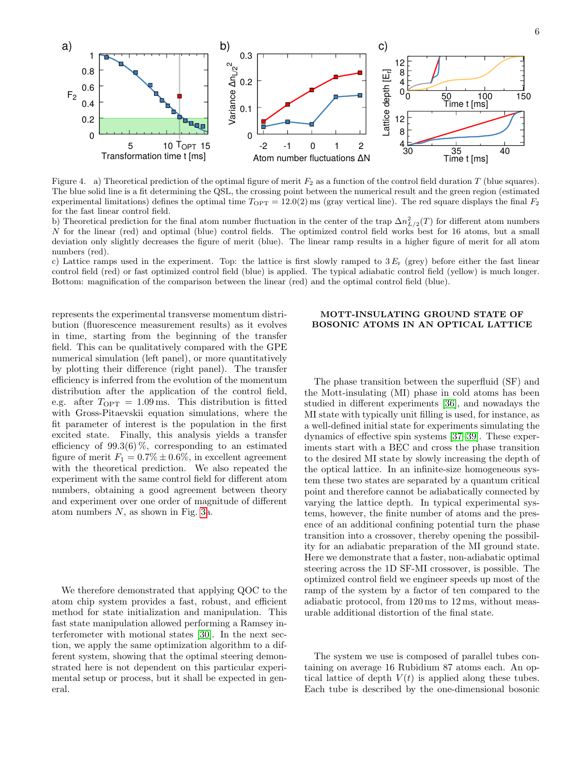

<span id="page-5-0"></span>Figure 4. a) Theoretical prediction of the optimal figure of merit  $F_2$  as a function of the control field duration T (blue squares). The blue solid line is a fit determining the QSL, the crossing point between the numerical result and the green region (estimated experimental limitations) defines the optimal time  $T_{\text{OPT}} = 12.0(2)$  ms (gray vertical line). The red square displays the final  $F_2$ for the fast linear control field.

b) Theoretical prediction for the final atom number fluctuation in the center of the trap  $\Delta n_{L/2}^2(T)$  for different atom numbers N for the linear (red) and optimal (blue) control fields. The optimized control field works best for 16 atoms, but a small deviation only slightly decreases the figure of merit (blue). The linear ramp results in a higher figure of merit for all atom numbers (red).

c) Lattice ramps used in the experiment. Top: the lattice is first slowly ramped to  $3 E<sub>r</sub>$  (grey) before either the fast linear control field (red) or fast optimized control field (blue) is applied. The typical adiabatic control field (yellow) is much longer. Bottom: magnification of the comparison between the linear (red) and the optimal control field (blue).

represents the experimental transverse momentum distribution (fluorescence measurement results) as it evolves in time, starting from the beginning of the transfer field. This can be qualitatively compared with the GPE numerical simulation (left panel), or more quantitatively by plotting their difference (right panel). The transfer efficiency is inferred from the evolution of the momentum distribution after the application of the control field, e.g. after  $T_{\text{OPT}} = 1.09 \,\text{ms}$ . This distribution is fitted with Gross-Pitaevskii equation simulations, where the fit parameter of interest is the population in the first excited state. Finally, this analysis yields a transfer efficiency of  $99.3(6)\%$ , corresponding to an estimated figure of merit  $F_1 = 0.7\% \pm 0.6\%$ , in excellent agreement with the theoretical prediction. We also repeated the experiment with the same control field for different atom numbers, obtaining a good agreement between theory and experiment over one order of magnitude of different atom numbers  $N$ , as shown in Fig. [3a](#page-4-0).

We therefore demonstrated that applying QOC to the atom chip system provides a fast, robust, and efficient method for state initialization and manipulation. This fast state manipulation allowed performing a Ramsey interferometer with motional states [\[30\]](#page-11-9). In the next section, we apply the same optimization algorithm to a different system, showing that the optimal steering demonstrated here is not dependent on this particular experimental setup or process, but it shall be expected in general.

## MOTT-INSULATING GROUND STATE OF BOSONIC ATOMS IN AN OPTICAL LATTICE

The phase transition between the superfluid (SF) and the Mott-insulating (MI) phase in cold atoms has been studied in different experiments [\[36\]](#page-11-15), and nowadays the MI state with typically unit filling is used, for instance, as a well-defined initial state for experiments simulating the dynamics of effective spin systems [\[37](#page-11-16)[–39\]](#page-11-17). These experiments start with a BEC and cross the phase transition to the desired MI state by slowly increasing the depth of the optical lattice. In an infinite-size homogeneous system these two states are separated by a quantum critical point and therefore cannot be adiabatically connected by varying the lattice depth. In typical experimental systems, however, the finite number of atoms and the presence of an additional confining potential turn the phase transition into a crossover, thereby opening the possibility for an adiabatic preparation of the MI ground state. Here we demonstrate that a faster, non-adiabatic optimal steering across the 1D SF-MI crossover, is possible. The optimized control field we engineer speeds up most of the ramp of the system by a factor of ten compared to the adiabatic protocol, from 120 ms to 12 ms, without measurable additional distortion of the final state.

The system we use is composed of parallel tubes containing on average 16 Rubidium 87 atoms each. An optical lattice of depth  $V(t)$  is applied along these tubes. Each tube is described by the one-dimensional bosonic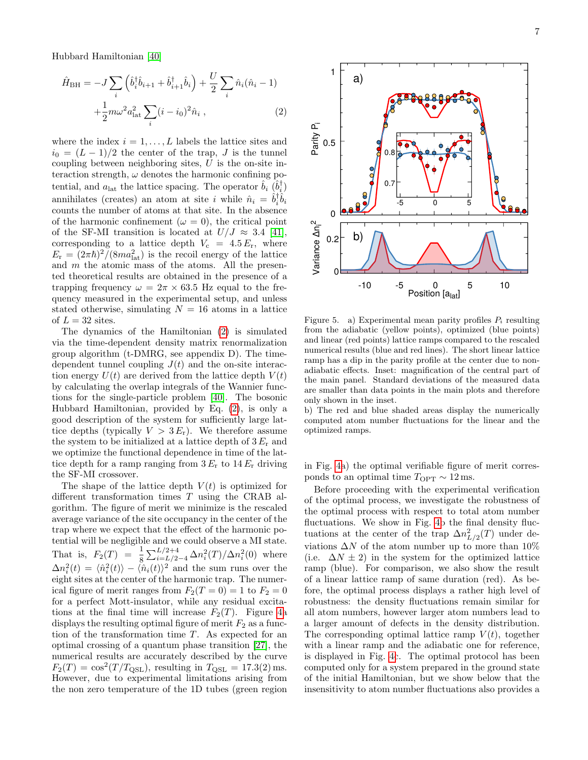Hubbard Hamiltonian [\[40\]](#page-11-18)

$$
\hat{H}_{\rm BH} = -J \sum_{i} \left( \hat{b}_{i}^{\dagger} \hat{b}_{i+1} + \hat{b}_{i+1}^{\dagger} \hat{b}_{i} \right) + \frac{U}{2} \sum_{i} \hat{n}_{i} (\hat{n}_{i} - 1) + \frac{1}{2} m \omega^{2} a_{\rm lat}^{2} \sum_{i} (i - i_{0})^{2} \hat{n}_{i} , \qquad (2)
$$

where the index  $i = 1, \ldots, L$  labels the lattice sites and  $i_0 = (L-1)/2$  the center of the trap, J is the tunnel coupling between neighboring sites,  $U$  is the on-site interaction strength,  $\omega$  denotes the harmonic confining potential, and  $a_{\text{lat}}$  the lattice spacing. The operator  $\hat{b}_i \, (\hat{b}_i^{\dagger})$ annihilates (creates) an atom at site i while  $\hat{n}_i = \hat{b}_i^{\dagger} \hat{b}_i$ counts the number of atoms at that site. In the absence of the harmonic confinement ( $\omega = 0$ ), the critical point of the SF-MI transition is located at  $U/J \approx 3.4$  [\[41\]](#page-11-19), corresponding to a lattice depth  $V_c = 4.5 E_r$ , where  $E_{\rm r} = (2\pi\hbar)^2/(8ma_{\rm lat}^2)$  is the recoil energy of the lattice and m the atomic mass of the atoms. All the presented theoretical results are obtained in the presence of a trapping frequency  $\omega = 2\pi \times 63.5$  Hz equal to the frequency measured in the experimental setup, and unless stated otherwise, simulating  $N = 16$  atoms in a lattice of  $L = 32$  sites.

The dynamics of the Hamiltonian [\(2\)](#page-6-0) is simulated via the time-dependent density matrix renormalization group algorithm (t-DMRG, see appendix D). The timedependent tunnel coupling  $J(t)$  and the on-site interaction energy  $U(t)$  are derived from the lattice depth  $V(t)$ by calculating the overlap integrals of the Wannier functions for the single-particle problem [\[40\]](#page-11-18). The bosonic Hubbard Hamiltonian, provided by Eq. [\(2\)](#page-6-0), is only a good description of the system for sufficiently large lattice depths (typically  $V > 3 E_r$ ). We therefore assume the system to be initialized at a lattice depth of  $3 E_r$  and we optimize the functional dependence in time of the lattice depth for a ramp ranging from  $3 E_r$  to  $14 E_r$  driving the SF-MI crossover.

The shape of the lattice depth  $V(t)$  is optimized for different transformation times T using the CRAB algorithm. The figure of merit we minimize is the rescaled average variance of the site occupancy in the center of the trap where we expect that the effect of the harmonic potential will be negligible and we could observe a MI state. That is,  $F_2(T) = \frac{1}{8} \sum_{i=L/2-4}^{L/2+4} \Delta n_i^2(T) / \Delta n_i^2(0)$  where  $\Delta n_i^2(t) = \langle \hat{n}_i^2(t) \rangle - \langle \hat{n}_i(t) \rangle^2$  and the sum runs over the eight sites at the center of the harmonic trap. The numerical figure of merit ranges from  $F_2(T=0) = 1$  to  $F_2 = 0$ for a perfect Mott-insulator, while any residual excitations at the final time will increase  $F_2(T)$ . Figure [4a](#page-5-0) displays the resulting optimal figure of merit  $F_2$  as a function of the transformation time T. As expected for an optimal crossing of a quantum phase transition [\[27\]](#page-11-6), the numerical results are accurately described by the curve  $F_2(T) = \cos^2(T/T_{\text{QSL}})$ , resulting in  $T_{\text{QSL}} = 17.3(2)$  ms. However, due to experimental limitations arising from the non zero temperature of the 1D tubes (green region

<span id="page-6-0"></span>

<span id="page-6-1"></span>Figure 5. a) Experimental mean parity profiles  $P_i$  resulting from the adiabatic (yellow points), optimized (blue points) and linear (red points) lattice ramps compared to the rescaled numerical results (blue and red lines). The short linear lattice ramp has a dip in the parity profile at the center due to nonadiabatic effects. Inset: magnification of the central part of the main panel. Standard deviations of the measured data are smaller than data points in the main plots and therefore only shown in the inset.

b) The red and blue shaded areas display the numerically computed atom number fluctuations for the linear and the optimized ramps.

in Fig. [4a](#page-5-0)) the optimal verifiable figure of merit corresponds to an optimal time  $T_{\rm OPT} \sim 12\, {\rm ms}.$ 

Before proceeding with the experimental verification of the optimal process, we investigate the robustness of the optimal process with respect to total atom number fluctuations. We show in Fig. [4b](#page-5-0) the final density fluctuations at the center of the trap  $\Delta n_{L/2}^2(T)$  under deviations  $\Delta N$  of the atom number up to more than  $10\%$ (i.e.  $\Delta N \pm 2$ ) in the system for the optimized lattice ramp (blue). For comparison, we also show the result of a linear lattice ramp of same duration (red). As before, the optimal process displays a rather high level of robustness: the density fluctuations remain similar for all atom numbers, however larger atom numbers lead to a larger amount of defects in the density distribution. The corresponding optimal lattice ramp  $V(t)$ , together with a linear ramp and the adiabatic one for reference, is displayed in Fig. [4c](#page-5-0). The optimal protocol has been computed only for a system prepared in the ground state of the initial Hamiltonian, but we show below that the insensitivity to atom number fluctuations also provides a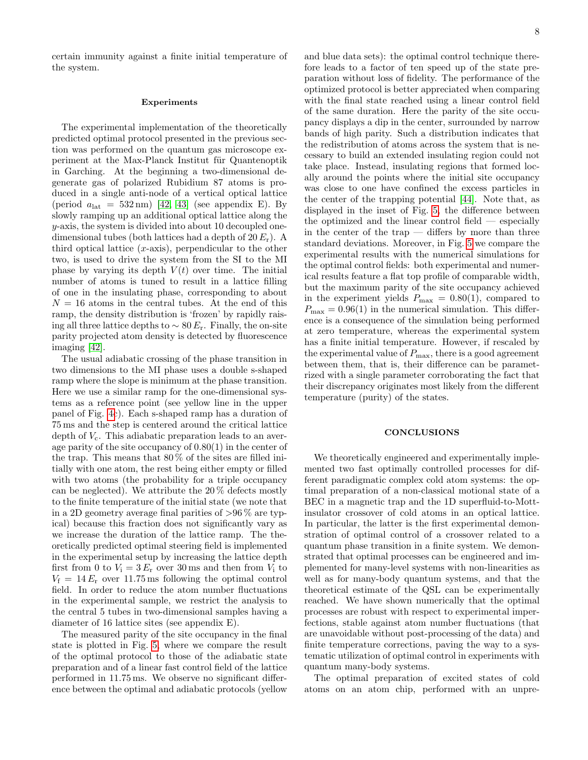certain immunity against a finite initial temperature of the system.

### Experiments

The experimental implementation of the theoretically predicted optimal protocol presented in the previous section was performed on the quantum gas microscope experiment at the Max-Planck Institut für Quantenoptik in Garching. At the beginning a two-dimensional degenerate gas of polarized Rubidium 87 atoms is produced in a single anti-node of a vertical optical lattice (period  $a_{\text{lat}} = 532 \text{ nm}$ ) [\[42,](#page-11-20) [43\]](#page-11-21) (see appendix E). By slowly ramping up an additional optical lattice along the y-axis, the system is divided into about 10 decoupled onedimensional tubes (both lattices had a depth of  $20 E_r$ ). A third optical lattice  $(x\text{-axis})$ , perpendicular to the other two, is used to drive the system from the SI to the MI phase by varying its depth  $V(t)$  over time. The initial number of atoms is tuned to result in a lattice filling of one in the insulating phase, corresponding to about  $N = 16$  atoms in the central tubes. At the end of this ramp, the density distribution is 'frozen' by rapidly raising all three lattice depths to  $\sim$  80  $E_r$ . Finally, the on-site parity projected atom density is detected by fluorescence imaging [\[42\]](#page-11-20).

The usual adiabatic crossing of the phase transition in two dimensions to the MI phase uses a double s-shaped ramp where the slope is minimum at the phase transition. Here we use a similar ramp for the one-dimensional systems as a reference point (see yellow line in the upper panel of Fig. [4c](#page-5-0)). Each s-shaped ramp has a duration of 75 ms and the step is centered around the critical lattice depth of  $V_c$ . This adiabatic preparation leads to an average parity of the site occupancy of 0.80(1) in the center of the trap. This means that  $80\%$  of the sites are filled initially with one atom, the rest being either empty or filled with two atoms (the probability for a triple occupancy can be neglected). We attribute the 20 % defects mostly to the finite temperature of the initial state (we note that in a 2D geometry average final parities of  $>96\%$  are typical) because this fraction does not significantly vary as we increase the duration of the lattice ramp. The theoretically predicted optimal steering field is implemented in the experimental setup by increasing the lattice depth first from 0 to  $V_i = 3 E_r$  over 30 ms and then from  $V_i$  to  $V_f = 14 E_r$  over 11.75 ms following the optimal control field. In order to reduce the atom number fluctuations in the experimental sample, we restrict the analysis to the central 5 tubes in two-dimensional samples having a diameter of 16 lattice sites (see appendix E).

The measured parity of the site occupancy in the final state is plotted in Fig. [5,](#page-6-1) where we compare the result of the optimal protocol to those of the adiabatic state preparation and of a linear fast control field of the lattice performed in 11.75 ms. We observe no significant difference between the optimal and adiabatic protocols (yellow

and blue data sets): the optimal control technique therefore leads to a factor of ten speed up of the state preparation without loss of fidelity. The performance of the optimized protocol is better appreciated when comparing with the final state reached using a linear control field of the same duration. Here the parity of the site occupancy displays a dip in the center, surrounded by narrow bands of high parity. Such a distribution indicates that the redistribution of atoms across the system that is necessary to build an extended insulating region could not take place. Instead, insulating regions that formed locally around the points where the initial site occupancy was close to one have confined the excess particles in the center of the trapping potential [\[44\]](#page-11-22). Note that, as displayed in the inset of Fig. [5,](#page-6-1) the difference between the optimized and the linear control field — especially in the center of the trap  $-$  differs by more than three standard deviations. Moreover, in Fig. [5](#page-6-1) we compare the experimental results with the numerical simulations for the optimal control fields: both experimental and numerical results feature a flat top profile of comparable width, but the maximum parity of the site occupancy achieved in the experiment yields  $P_{\text{max}} = 0.80(1)$ , compared to  $P_{\text{max}} = 0.96(1)$  in the numerical simulation. This difference is a consequence of the simulation being performed at zero temperature, whereas the experimental system has a finite initial temperature. However, if rescaled by the experimental value of  $P_{\text{max}}$ , there is a good agreement between them, that is, their difference can be parametrized with a single parameter corroborating the fact that their discrepancy originates most likely from the different temperature (purity) of the states.

### **CONCLUSIONS**

We theoretically engineered and experimentally implemented two fast optimally controlled processes for different paradigmatic complex cold atom systems: the optimal preparation of a non-classical motional state of a BEC in a magnetic trap and the 1D superfluid-to-Mottinsulator crossover of cold atoms in an optical lattice. In particular, the latter is the first experimental demonstration of optimal control of a crossover related to a quantum phase transition in a finite system. We demonstrated that optimal processes can be engineered and implemented for many-level systems with non-linearities as well as for many-body quantum systems, and that the theoretical estimate of the QSL can be experimentally reached. We have shown numerically that the optimal processes are robust with respect to experimental imperfections, stable against atom number fluctuations (that are unavoidable without post-processing of the data) and finite temperature corrections, paving the way to a systematic utilization of optimal control in experiments with quantum many-body systems.

The optimal preparation of excited states of cold atoms on an atom chip, performed with an unpre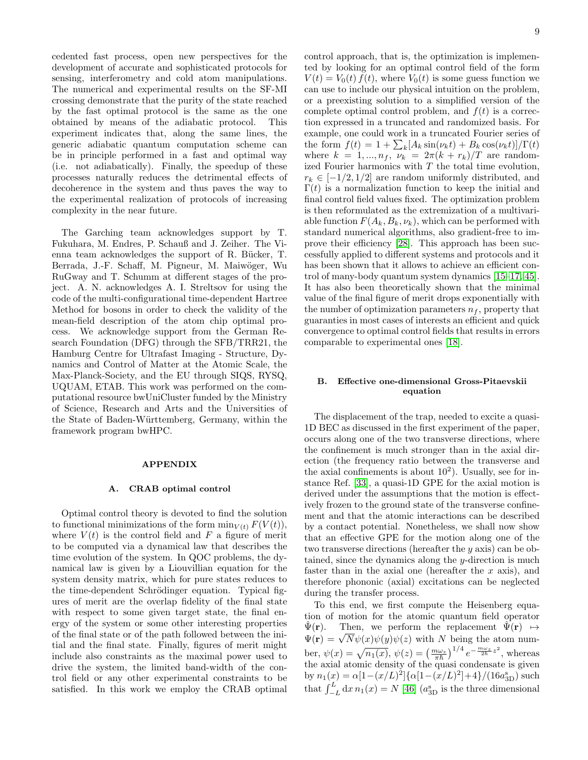cedented fast process, open new perspectives for the development of accurate and sophisticated protocols for sensing, interferometry and cold atom manipulations. The numerical and experimental results on the SF-MI crossing demonstrate that the purity of the state reached by the fast optimal protocol is the same as the one obtained by means of the adiabatic protocol. This experiment indicates that, along the same lines, the generic adiabatic quantum computation scheme can be in principle performed in a fast and optimal way (i.e. not adiabatically). Finally, the speedup of these processes naturally reduces the detrimental effects of decoherence in the system and thus paves the way to the experimental realization of protocols of increasing complexity in the near future.

The Garching team acknowledges support by T. Fukuhara, M. Endres, P. Schauß and J. Zeiher. The Vienna team acknowledges the support of R. Bücker,  $T$ . Berrada, J.-F. Schaff, M. Pigneur, M. Maiwöger, Wu RuGway and T. Schumm at different stages of the project. A. N. acknowledges A. I. Streltsov for using the code of the multi-configurational time-dependent Hartree Method for bosons in order to check the validity of the mean-field description of the atom chip optimal process. We acknowledge support from the German Research Foundation (DFG) through the SFB/TRR21, the Hamburg Centre for Ultrafast Imaging - Structure, Dynamics and Control of Matter at the Atomic Scale, the Max-Planck-Society, and the EU through SIQS, RYSQ, UQUAM, ETAB. This work was performed on the computational resource bwUniCluster funded by the Ministry of Science, Research and Arts and the Universities of the State of Baden-W¨urttemberg, Germany, within the framework program bwHPC.

## APPENDIX

### A. CRAB optimal control

Optimal control theory is devoted to find the solution to functional minimizations of the form  $\min_{V(t)} F(V(t)),$ where  $V(t)$  is the control field and F a figure of merit to be computed via a dynamical law that describes the time evolution of the system. In QOC problems, the dynamical law is given by a Liouvillian equation for the system density matrix, which for pure states reduces to the time-dependent Schrödinger equation. Typical figures of merit are the overlap fidelity of the final state with respect to some given target state, the final energy of the system or some other interesting properties of the final state or of the path followed between the initial and the final state. Finally, figures of merit might include also constraints as the maximal power used to drive the system, the limited band-width of the control field or any other experimental constraints to be satisfied. In this work we employ the CRAB optimal

control approach, that is, the optimization is implemented by looking for an optimal control field of the form  $V(t) = V_0(t) f(t)$ , where  $V_0(t)$  is some guess function we can use to include our physical intuition on the problem, or a preexisting solution to a simplified version of the complete optimal control problem, and  $f(t)$  is a correction expressed in a truncated and randomized basis. For example, one could work in a truncated Fourier series of the form  $f(t) = 1 + \sum_k [A_k \sin(\nu_k t) + B_k \cos(\nu_k t)]/\Gamma(t)$ where  $k = 1, ..., n_f, \overline{\nu_k} = 2\pi (k + r_k)/T$  are randomized Fourier harmonics with  $T$  the total time evolution,  $r_k \in [-1/2, 1/2]$  are random uniformly distributed, and  $\Gamma(t)$  is a normalization function to keep the initial and final control field values fixed. The optimization problem is then reformulated as the extremization of a multivariable function  $F(A_k, B_k, \nu_k)$ , which can be performed with standard numerical algorithms, also gradient-free to improve their efficiency [\[28\]](#page-11-7). This approach has been successfully applied to different systems and protocols and it has been shown that it allows to achieve an efficient control of many-body quantum system dynamics [\[15](#page-10-6)[–17,](#page-10-10) [45\]](#page-11-23). It has also been theoretically shown that the minimal value of the final figure of merit drops exponentially with the number of optimization parameters  $n_f$ , property that guaranties in most cases of interests an efficient and quick convergence to optimal control fields that results in errors comparable to experimental ones [\[18\]](#page-10-11).

## B. Effective one-dimensional Gross-Pitaevskii equation

The displacement of the trap, needed to excite a quasi-1D BEC as discussed in the first experiment of the paper, occurs along one of the two transverse directions, where the confinement is much stronger than in the axial direction (the frequency ratio between the transverse and the axial confinements is about  $10^2$ ). Usually, see for instance Ref. [\[33\]](#page-11-12), a quasi-1D GPE for the axial motion is derived under the assumptions that the motion is effectively frozen to the ground state of the transverse confinement and that the atomic interactions can be described by a contact potential. Nonetheless, we shall now show that an effective GPE for the motion along one of the two transverse directions (hereafter the y axis) can be obtained, since the dynamics along the y-direction is much faster than in the axial one (hereafter the  $x$  axis), and therefore phononic (axial) excitations can be neglected during the transfer process.

To this end, we first compute the Heisenberg equation of motion for the atomic quantum field operator  $\hat{\Psi}(\mathbf{r})$ . Then, we perform the replacement  $\hat{\Psi}(\mathbf{r}) \mapsto$  $\Psi(\mathbf{r})$ . Then, we perform the replacement  $\Psi(\mathbf{r}) \mapsto$ <br> $\Psi(\mathbf{r}) = \sqrt{N} \psi(x) \psi(y) \psi(z)$  with N being the atom number,  $\psi(x) = \sqrt{n_1(x)}$ ,  $\psi(z) = \left(\frac{m\omega_z}{\pi\hbar}\right)^{1/4} e^{-\frac{m\omega_z}{2\hbar}z^2}$ , whereas the axial atomic density of the quasi condensate is given by  $n_1(x) = \alpha[1-(x/L)^2]\{\alpha[1-(x/L)^2]+4\}/(16a_{3D}^s)$  such that  $\int_{-L}^{L} dx \, n_1(x) = N$  [\[46\]](#page-11-24) ( $a_{3D}^s$  is the three dimensional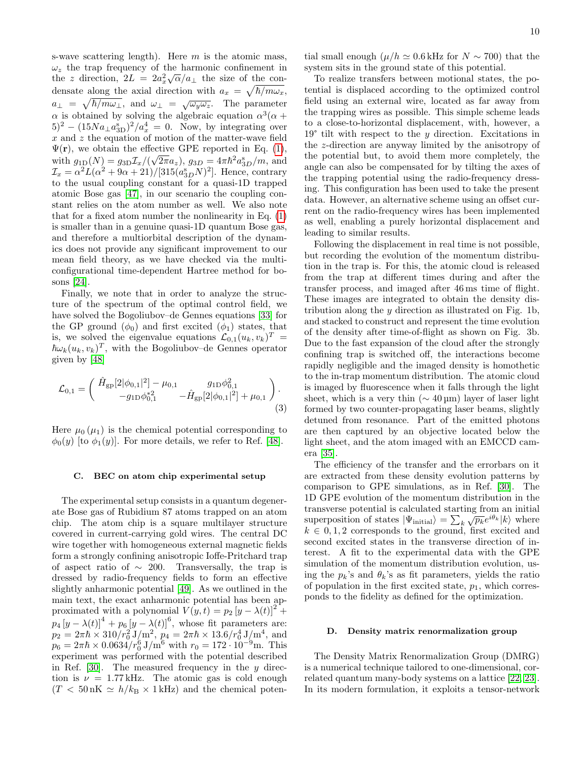s-wave scattering length). Here  $m$  is the atomic mass,  $\omega_z$  the trap frequency of the harmonic confinement in the z direction,  $2L = 2a_x^2\sqrt{\alpha}/a_{\perp}$  the size of the condensate along the axial direction with  $a_x = \sqrt{\hbar/m\omega_x}$ ,  $a_{\perp} = \sqrt{\hbar/m\omega_{\perp}}, \text{ and } \omega_{\perp} = \sqrt{\omega_y\omega_z}.$  The parameter  $\alpha$  is obtained by solving the algebraic equation  $\alpha^3(\alpha +$  $(5)^2 - (15Na_{\perp}a_{3D}^s)^2/a_x^4 = 0$ . Now, by integrating over  $x$  and  $z$  the equation of motion of the matter-wave field  $\Psi(\mathbf{r})$ , we obtain the effective GPE reported in Eq. [\(1\)](#page-3-1), with  $g_{1D}(N) = g_{3D} \mathcal{I}_x/(\sqrt{2\pi} a_z)$ ,  $g_{3D} = 4\pi \hbar^2 a_{3D}^s/m$ , and  $\mathcal{I}_x = \alpha^2 L(\alpha^2 + 9\alpha + 21)/[315(a_{3D}^s N)^2]$ . Hence, contrary to the usual coupling constant for a quasi-1D trapped atomic Bose gas [\[47\]](#page-11-25), in our scenario the coupling constant relies on the atom number as well. We also note that for a fixed atom number the nonlinearity in Eq. [\(1\)](#page-3-1) is smaller than in a genuine quasi-1D quantum Bose gas, and therefore a multiorbital description of the dynamics does not provide any significant improvement to our mean field theory, as we have checked via the multiconfigurational time-dependent Hartree method for bosons [\[24\]](#page-11-4).

Finally, we note that in order to analyze the structure of the spectrum of the optimal control field, we have solved the Bogoliubov–de Gennes equations [\[33\]](#page-11-12) for the GP ground  $(\phi_0)$  and first excited  $(\phi_1)$  states, that is, we solved the eigenvalue equations  $\mathcal{L}_{0,1}(u_k, v_k)^T =$  $\hbar\omega_k(u_k,v_k)^T$ , with the Bogoliubov–de Gennes operator given by [\[48\]](#page-11-26)

$$
\mathcal{L}_{0,1} = \begin{pmatrix} \hat{H}_{\text{gp}}[2|\phi_{0,1}|^2] - \mu_{0,1} & g_{1D}\phi_{0,1}^2 \\ -g_{1D}\phi_{0,1}^{*2} & -\hat{H}_{\text{gp}}[2|\phi_{0,1}|^2] + \mu_{0,1} \end{pmatrix} . \tag{3}
$$

Here  $\mu_0(\mu_1)$  is the chemical potential corresponding to  $\phi_0(y)$  [to  $\phi_1(y)$ ]. For more details, we refer to Ref. [\[48\]](#page-11-26).

### C. BEC on atom chip experimental setup

The experimental setup consists in a quantum degenerate Bose gas of Rubidium 87 atoms trapped on an atom chip. The atom chip is a square multilayer structure covered in current-carrying gold wires. The central DC wire together with homogeneous external magnetic fields form a strongly confining anisotropic Ioffe-Pritchard trap of aspect ratio of  $\sim$  200. Transversally, the trap is dressed by radio-frequency fields to form an effective slightly anharmonic potential [\[49\]](#page-11-27). As we outlined in the main text, the exact anharmonic potential has been approximated with a polynomial  $V(y, t) = p_2 [y - \lambda(t)]^2 +$  $p_4 [y - \lambda(t)]^4 + p_6 [y - \lambda(t)]^6$ , whose fit parameters are:  $p_2 = 2\pi\hbar \times 310/r_0^2 J/m^2$ ,  $p_4 = 2\pi\hbar \times 13.6/r_0^4 J/m^4$ , and  $p_6 = 2\pi\hbar \times 0.0634/r_0^6 \text{ J/m}^6$  with  $r_0 = 172 \cdot 10^{-9} \text{m}$ . This experiment was performed with the potential described in Ref. [\[30\]](#page-11-9). The measured frequency in the  $y$  direction is  $\nu = 1.77 \text{ kHz}$ . The atomic gas is cold enough  $(T < 50 \text{ nK} \simeq h/k_B \times 1 \text{ kHz})$  and the chemical poten-

tial small enough ( $\mu/h \simeq 0.6$  kHz for  $N \sim 700$ ) that the system sits in the ground state of this potential.

To realize transfers between motional states, the potential is displaced according to the optimized control field using an external wire, located as far away from the trapping wires as possible. This simple scheme leads to a close-to-horizontal displacement, with, however, a  $19^{\circ}$  tilt with respect to the y direction. Excitations in the z-direction are anyway limited by the anisotropy of the potential but, to avoid them more completely, the angle can also be compensated for by tilting the axes of the trapping potential using the radio-frequency dressing. This configuration has been used to take the present data. However, an alternative scheme using an offset current on the radio-frequency wires has been implemented as well, enabling a purely horizontal displacement and leading to similar results.

Following the displacement in real time is not possible, but recording the evolution of the momentum distribution in the trap is. For this, the atomic cloud is released from the trap at different times during and after the transfer process, and imaged after 46 ms time of flight. These images are integrated to obtain the density distribution along the  $y$  direction as illustrated on Fig. 1b, and stacked to construct and represent the time evolution of the density after time-of-flight as shown on Fig. 3b. Due to the fast expansion of the cloud after the strongly confining trap is switched off, the interactions become rapidly negligible and the imaged density is homothetic to the in-trap momentum distribution. The atomic cloud is imaged by fluorescence when it falls through the light sheet, which is a very thin ( $\sim 40 \,\text{\mu m}$ ) layer of laser light formed by two counter-propagating laser beams, slightly detuned from resonance. Part of the emitted photons are then captured by an objective located below the light sheet, and the atom imaged with an EMCCD camera [\[35\]](#page-11-14).

<span id="page-9-0"></span>The efficiency of the transfer and the errorbars on it are extracted from these density evolution patterns by comparison to GPE simulations, as in Ref. [\[30\]](#page-11-9). The 1D GPE evolution of the momentum distribution in the transverse potential is calculated starting from an initial superposition of states  $|\Psi_{initial}\rangle = \sum_{k} \sqrt{p_k} e^{i\theta_k} |k\rangle$  where  $k \in {0, 1, 2}$  corresponds to the ground, first excited and second excited states in the transverse direction of interest. A fit to the experimental data with the GPE simulation of the momentum distribution evolution, using the  $p_k$ 's and  $\theta_k$ 's as fit parameters, yields the ratio of population in the first excited state,  $p_1$ , which corresponds to the fidelity as defined for the optimization.

### D. Density matrix renormalization group

The Density Matrix Renormalization Group (DMRG) is a numerical technique tailored to one-dimensional, correlated quantum many-body systems on a lattice [\[22,](#page-11-2) [23\]](#page-11-3). In its modern formulation, it exploits a tensor-network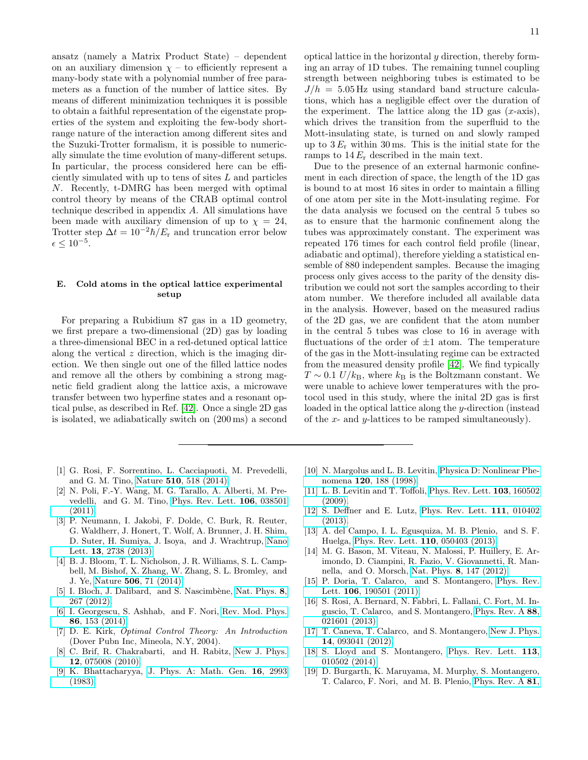ansatz (namely a Matrix Product State) – dependent on an auxiliary dimension  $\chi$  – to efficiently represent a many-body state with a polynomial number of free parameters as a function of the number of lattice sites. By means of different minimization techniques it is possible to obtain a faithful representation of the eigenstate properties of the system and exploiting the few-body shortrange nature of the interaction among different sites and the Suzuki-Trotter formalism, it is possible to numerically simulate the time evolution of many-different setups. In particular, the process considered here can be efficiently simulated with up to tens of sites  $L$  and particles N. Recently, t-DMRG has been merged with optimal control theory by means of the CRAB optimal control technique described in appendix A. All simulations have been made with auxiliary dimension of up to  $\chi = 24$ , Trotter step  $\Delta t = 10^{-2} \hbar \dot{E}_{\rm r}$  and truncation error below  $\epsilon \leq 10^{-5}$ .

# E. Cold atoms in the optical lattice experimental setup

For preparing a Rubidium 87 gas in a 1D geometry, we first prepare a two-dimensional (2D) gas by loading a three-dimensional BEC in a red-detuned optical lattice along the vertical  $z$  direction, which is the imaging direction. We then single out one of the filled lattice nodes and remove all the others by combining a strong magnetic field gradient along the lattice axis, a microwave transfer between two hyperfine states and a resonant optical pulse, as described in Ref. [\[42\]](#page-11-20). Once a single 2D gas is isolated, we adiabatically switch on (200 ms) a second

- <span id="page-10-0"></span>[1] G. Rosi, F. Sorrentino, L. Cacciapuoti, M. Prevedelli, and G. M. Tino, Nature 510[, 518 \(2014\).](http://dx.doi.org/ 10.1038/nature13433)
- [2] N. Poli, F.-Y. Wang, M. G. Tarallo, A. Alberti, M. Prevedelli, and G. M. Tino, [Phys. Rev. Lett.](http://dx.doi.org/ 10.1103/PhysRevLett.106.038501) 106, 038501 [\(2011\).](http://dx.doi.org/ 10.1103/PhysRevLett.106.038501)
- [3] P. Neumann, I. Jakobi, F. Dolde, C. Burk, R. Reuter, G. Waldherr, J. Honert, T. Wolf, A. Brunner, J. H. Shim, D. Suter, H. Sumiya, J. Isoya, and J. Wrachtrup, [Nano](http://dx.doi.org/ 10.1021/nl401216y) Lett. 13[, 2738 \(2013\).](http://dx.doi.org/ 10.1021/nl401216y)
- [4] B. J. Bloom, T. L. Nicholson, J. R. Williams, S. L. Campbell, M. Bishof, X. Zhang, W. Zhang, S. L. Bromley, and J. Ye, Nature 506[, 71 \(2014\).](http://dx.doi.org/ 10.1038/nature12941)
- [5] I. Bloch, J. Dalibard, and S. Nascimbène, [Nat. Phys.](http://dx.doi.org/10.1038/nphys2259) 8, [267 \(2012\).](http://dx.doi.org/10.1038/nphys2259)
- <span id="page-10-1"></span>[6] I. Georgescu, S. Ashhab, and F. Nori, [Rev. Mod. Phys.](http://dx.doi.org/10.1103/RevModPhys.86.153) 86[, 153 \(2014\).](http://dx.doi.org/10.1103/RevModPhys.86.153)
- <span id="page-10-2"></span>[7] D. E. Kirk, Optimal Control Theory: An Introduction (Dover Pubn Inc, Mineola, N.Y, 2004).
- <span id="page-10-3"></span>[8] C. Brif, R. Chakrabarti, and H. Rabitz, [New J. Phys.](http://dx.doi.org/10.1088/1367-2630/12/7/075008) 12[, 075008 \(2010\).](http://dx.doi.org/10.1088/1367-2630/12/7/075008)
- <span id="page-10-4"></span>[9] K. Bhattacharyya, [J. Phys. A: Math. Gen.](http://dx.doi.org/10.1088/0305-4470/16/13/021) 16, 2993 [\(1983\).](http://dx.doi.org/10.1088/0305-4470/16/13/021)

optical lattice in the horizontal y direction, thereby forming an array of 1D tubes. The remaining tunnel coupling strength between neighboring tubes is estimated to be  $J/h = 5.05$  Hz using standard band structure calculations, which has a negligible effect over the duration of the experiment. The lattice along the 1D gas  $(x\text{-axis})$ , which drives the transition from the superfluid to the Mott-insulating state, is turned on and slowly ramped up to  $3 E_r$  within 30 ms. This is the initial state for the ramps to  $14 E_r$  described in the main text.

Due to the presence of an external harmonic confinement in each direction of space, the length of the 1D gas is bound to at most 16 sites in order to maintain a filling of one atom per site in the Mott-insulating regime. For the data analysis we focused on the central 5 tubes so as to ensure that the harmonic confinement along the tubes was approximately constant. The experiment was repeated 176 times for each control field profile (linear, adiabatic and optimal), therefore yielding a statistical ensemble of 880 independent samples. Because the imaging process only gives access to the parity of the density distribution we could not sort the samples according to their atom number. We therefore included all available data in the analysis. However, based on the measured radius of the 2D gas, we are confident that the atom number in the central 5 tubes was close to 16 in average with fluctuations of the order of  $\pm 1$  atom. The temperature of the gas in the Mott-insulating regime can be extracted from the measured density profile [\[42\]](#page-11-20). We find typically  $T \sim 0.1$  U/k<sub>B</sub>, where k<sub>B</sub> is the Boltzmann constant. We were unable to achieve lower temperatures with the protocol used in this study, where the inital 2D gas is first loaded in the optical lattice along the y-direction (instead of the x- and y-lattices to be ramped simultaneously).

- [10] N. Margolus and L. B. Levitin, [Physica D: Nonlinear Phe](http://www.sciencedirect.com/science/article/pii/S0167278998000542)nomena 120[, 188 \(1998\).](http://www.sciencedirect.com/science/article/pii/S0167278998000542)
- [11] L. B. Levitin and T. Toffoli, [Phys. Rev. Lett.](http://journals.aps.org/prl/abstract/10.1103/PhysRevLett.103.160502) 103, 160502 [\(2009\).](http://journals.aps.org/prl/abstract/10.1103/PhysRevLett.103.160502)
- [12] S. Deffner and E. Lutz, [Phys. Rev. Lett.](http://dx.doi.org/10.1103/PhysRevLett.111.010402) 111, 010402 [\(2013\).](http://dx.doi.org/10.1103/PhysRevLett.111.010402)
- <span id="page-10-9"></span>[13] A. del Campo, I. L. Egusquiza, M. B. Plenio, and S. F. Huelga, [Phys. Rev. Lett.](http://dx.doi.org/10.1103/PhysRevLett.110.050403) 110, 050403 (2013).
- <span id="page-10-5"></span>[14] M. G. Bason, M. Viteau, N. Malossi, P. Huillery, E. Arimondo, D. Ciampini, R. Fazio, V. Giovannetti, R. Mannella, and O. Morsch, Nat. Phys. 8[, 147 \(2012\).](http://www.nature.com/articles/nphys2170)
- <span id="page-10-6"></span>[15] P. Doria, T. Calarco, and S. Montangero, [Phys. Rev.](http://dx.doi.org/10.1103/PhysRevLett.106.190501) Lett. 106[, 190501 \(2011\).](http://dx.doi.org/10.1103/PhysRevLett.106.190501)
- <span id="page-10-8"></span>[16] S. Rosi, A. Bernard, N. Fabbri, L. Fallani, C. Fort, M. Inguscio, T. Calarco, and S. Montangero, [Phys. Rev. A](http://dx.doi.org/ 10.1103/PhysRevA.88.021601) 88, [021601 \(2013\).](http://dx.doi.org/ 10.1103/PhysRevA.88.021601)
- <span id="page-10-10"></span>[17] T. Caneva, T. Calarco, and S. Montangero, [New J. Phys.](http://dx.doi.org/10.1088/1367-2630/14/9/093041) 14[, 093041 \(2012\).](http://dx.doi.org/10.1088/1367-2630/14/9/093041)
- <span id="page-10-11"></span>[18] S. Lloyd and S. Montangero, [Phys. Rev. Lett.](http://dx.doi.org/10.1103/PhysRevLett.113.010502) **113**, [010502 \(2014\).](http://dx.doi.org/10.1103/PhysRevLett.113.010502)
- <span id="page-10-7"></span>[19] D. Burgarth, K. Maruyama, M. Murphy, S. Montangero, T. Calarco, F. Nori, and M. B. Plenio, [Phys. Rev. A](http://dx.doi.org/10.1103/PhysRevA.81.040303) 81,